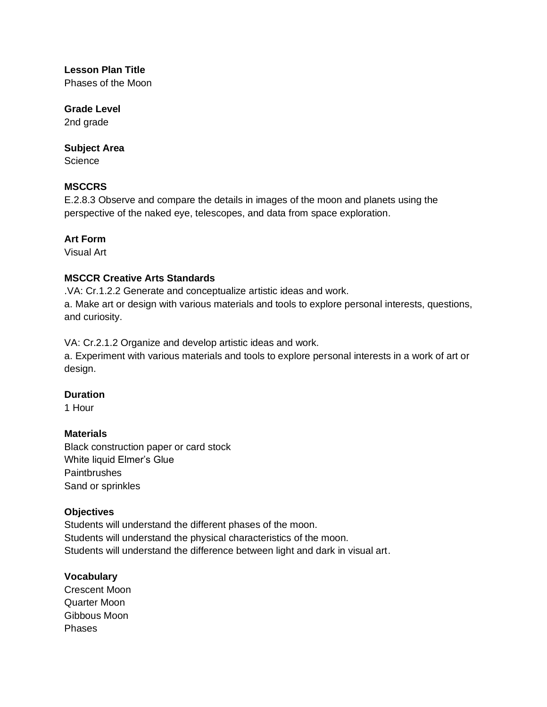# **Lesson Plan Title**

Phases of the Moon

#### **Grade Level**

2nd grade

#### **Subject Area**

**Science** 

#### **MSCCRS**

E.2.8.3 Observe and compare the details in images of the moon and planets using the perspective of the naked eye, telescopes, and data from space exploration.

### **Art Form**

Visual Art

#### **MSCCR Creative Arts Standards**

.VA: Cr.1.2.2 Generate and conceptualize artistic ideas and work.

a. Make art or design with various materials and tools to explore personal interests, questions, and curiosity.

VA: Cr.2.1.2 Organize and develop artistic ideas and work.

a. Experiment with various materials and tools to explore personal interests in a work of art or design.

#### **Duration**

1 Hour

#### **Materials**

Black construction paper or card stock White liquid Elmer's Glue **Paintbrushes** Sand or sprinkles

#### **Objectives**

Students will understand the different phases of the moon. Students will understand the physical characteristics of the moon. Students will understand the difference between light and dark in visual art.

#### **Vocabulary**

Crescent Moon Quarter Moon Gibbous Moon Phases